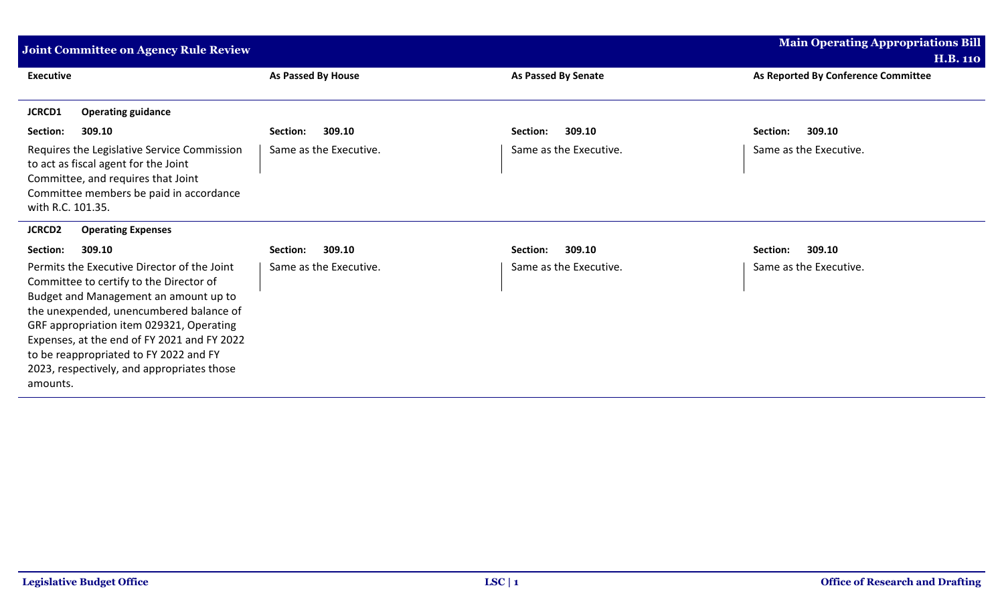| Joint Committee on Agency Rule Review                                                                                                                                                                                                                                                                                                                                     | <b>Main Operating Appropriations Bill</b> |                        |                                     |
|---------------------------------------------------------------------------------------------------------------------------------------------------------------------------------------------------------------------------------------------------------------------------------------------------------------------------------------------------------------------------|-------------------------------------------|------------------------|-------------------------------------|
|                                                                                                                                                                                                                                                                                                                                                                           |                                           |                        | <b>H.B. 110</b>                     |
| <b>Executive</b>                                                                                                                                                                                                                                                                                                                                                          | As Passed By House                        | As Passed By Senate    | As Reported By Conference Committee |
| <b>JCRCD1</b><br><b>Operating guidance</b>                                                                                                                                                                                                                                                                                                                                |                                           |                        |                                     |
| 309.10<br>Section:                                                                                                                                                                                                                                                                                                                                                        | 309.10<br>Section:                        | 309.10<br>Section:     | 309.10<br>Section:                  |
| Requires the Legislative Service Commission<br>to act as fiscal agent for the Joint<br>Committee, and requires that Joint<br>Committee members be paid in accordance<br>with R.C. 101.35.                                                                                                                                                                                 | Same as the Executive.                    | Same as the Executive. | Same as the Executive.              |
| <b>JCRCD2</b><br><b>Operating Expenses</b>                                                                                                                                                                                                                                                                                                                                |                                           |                        |                                     |
| Section:<br>309.10                                                                                                                                                                                                                                                                                                                                                        | 309.10<br>Section:                        | 309.10<br>Section:     | 309.10<br>Section:                  |
| Permits the Executive Director of the Joint<br>Committee to certify to the Director of<br>Budget and Management an amount up to<br>the unexpended, unencumbered balance of<br>GRF appropriation item 029321, Operating<br>Expenses, at the end of FY 2021 and FY 2022<br>to be reappropriated to FY 2022 and FY<br>2023, respectively, and appropriates those<br>amounts. | Same as the Executive.                    | Same as the Executive. | Same as the Executive.              |